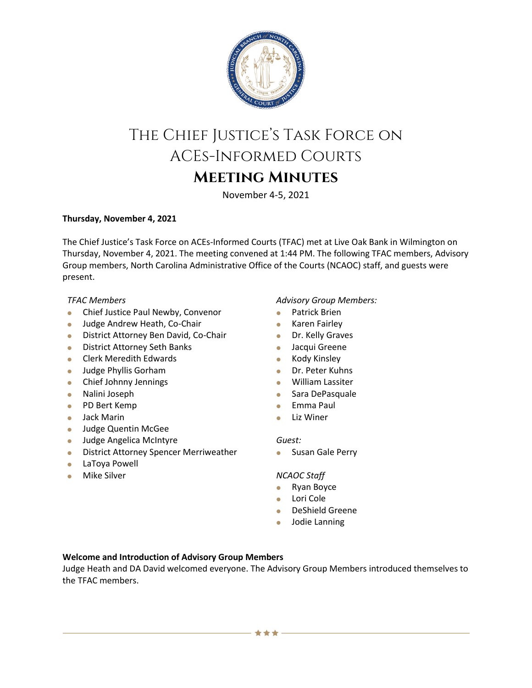

# The Chief Justice's Task Force on ACEs-Informed Courts **Meeting Minutes**

November 4-5, 2021

# **Thursday, November 4, 2021**

The Chief Justice's Task Force on ACEs-Informed Courts (TFAC) met at Live Oak Bank in Wilmington on Thursday, November 4, 2021. The meeting convened at 1:44 PM. The following TFAC members, Advisory Group members, North Carolina Administrative Office of the Courts (NCAOC) staff, and guests were present.

# *TFAC Members*

- **Chief Justice Paul Newby, Convenor**
- **Judge Andrew Heath, Co-Chair**
- **District Attorney Ben David, Co-Chair**
- **•** District Attorney Seth Banks
- **Clerk Meredith Edwards**
- **Judge Phyllis Gorham**
- Chief Johnny Jennings
- Nalini Joseph
- PD Bert Kemp
- Jack Marin
- **Judge Quentin McGee**
- **Judge Angelica McIntyre**
- **•** District Attorney Spencer Merriweather
- LaToya Powell
- **Mike Silver**

# *Advisory Group Members:*

- Patrick Brien
- **•** Karen Fairley
- **Dr. Kelly Graves**
- **Jacqui Greene**
- **Kody Kinsley**
- Dr. Peter Kuhns
- William Lassiter
- **Sara DePasquale**
- Emma Paul
- **•** Liz Winer

#### *Guest:*

**Susan Gale Perry** 

# *NCAOC Staff*

- Ryan Boyce
- Lori Cole
- DeShield Greene
- Jodie Lanning

# **Welcome and Introduction of Advisory Group Members**

Judge Heath and DA David welcomed everyone. The Advisory Group Members introduced themselves to the TFAC members.

\*\*\*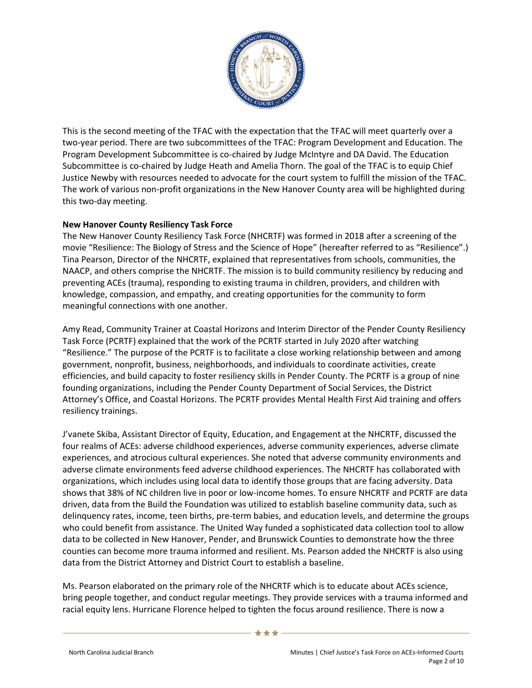

This is the second meeting of the TFAC with the expectation that the TFAC will meet quarterly over a two-year period. There are two subcommittees of the TFAC: Program Development and Education. The Program Development Subcommittee is co-chaired by Judge McIntyre and DA David. The Education Subcommittee is co-chaired by Judge Heath and Amelia Thorn. The goal of the TFAC is to equip Chief Justice Newby with resources needed to advocate for the court system to fulfill the mission of the TFAC. The work of various non-profit organizations in the New Hanover County area will be highlighted during this two-day meeting.

# **New Hanover County Resiliency Task Force**

The New Hanover County Resiliency Task Force (NHCRTF) was formed in 2018 after a screening of the movie "Resilience: The Biology of Stress and the Science of Hope" (hereafter referred to as "Resilience".) Tina Pearson, Director of the NHCRTF, explained that representatives from schools, communities, the NAACP, and others comprise the NHCRTF. The mission is to build community resiliency by reducing and preventing ACEs (trauma), responding to existing trauma in children, providers, and children with knowledge, compassion, and empathy, and creating opportunities for the community to form meaningful connections with one another.

Amy Read, Community Trainer at Coastal Horizons and Interim Director of the Pender County Resiliency Task Force (PCRTF) explained that the work of the PCRTF started in July 2020 after watching "Resilience." The purpose of the PCRTF is to facilitate a close working relationship between and among government, nonprofit, business, neighborhoods, and individuals to coordinate activities, create efficiencies, and build capacity to foster resiliency skills in Pender County. The PCRTF is a group of nine founding organizations, including the Pender County Department of Social Services, the District Attorney's Office, and Coastal Horizons. The PCRTF provides Mental Health First Aid training and offers resiliency trainings.

J'vanete Skiba, Assistant Director of Equity, Education, and Engagement at the NHCRTF, discussed the four realms of ACEs: adverse childhood experiences, adverse community experiences, adverse climate experiences, and atrocious cultural experiences. She noted that adverse community environments and adverse climate environments feed adverse childhood experiences. The NHCRTF has collaborated with organizations, which includes using local data to identify those groups that are facing adversity. Data shows that 38% of NC children live in poor or low-income homes. To ensure NHCRTF and PCRTF are data driven, data from the Build the Foundation was utilized to establish baseline community data, such as delinquency rates, income, teen births, pre-term babies, and education levels, and determine the groups who could benefit from assistance. The United Way funded a sophisticated data collection tool to allow data to be collected in New Hanover, Pender, and Brunswick Counties to demonstrate how the three counties can become more trauma informed and resilient. Ms. Pearson added the NHCRTF is also using data from the District Attorney and District Court to establish a baseline.

Ms. Pearson elaborated on the primary role of the NHCRTF which is to educate about ACEs science, bring people together, and conduct regular meetings. They provide services with a trauma informed and racial equity lens. Hurricane Florence helped to tighten the focus around resilience. There is now a

\*\*\*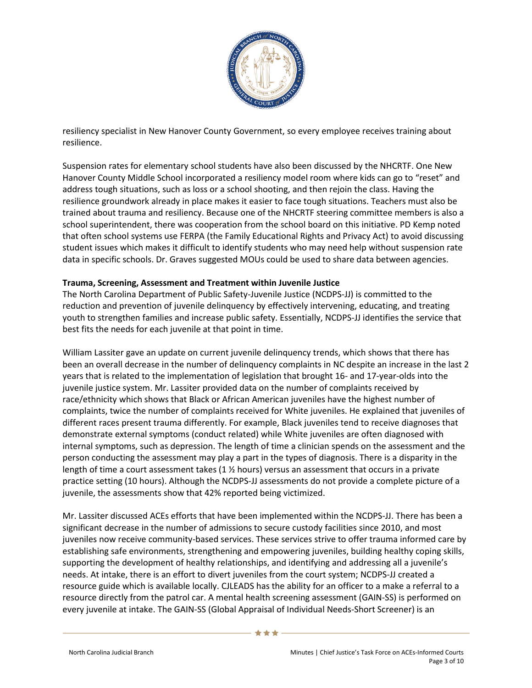

resiliency specialist in New Hanover County Government, so every employee receives training about resilience.

Suspension rates for elementary school students have also been discussed by the NHCRTF. One New Hanover County Middle School incorporated a resiliency model room where kids can go to "reset" and address tough situations, such as loss or a school shooting, and then rejoin the class. Having the resilience groundwork already in place makes it easier to face tough situations. Teachers must also be trained about trauma and resiliency. Because one of the NHCRTF steering committee members is also a school superintendent, there was cooperation from the school board on this initiative. PD Kemp noted that often school systems use FERPA (the Family Educational Rights and Privacy Act) to avoid discussing student issues which makes it difficult to identify students who may need help without suspension rate data in specific schools. Dr. Graves suggested MOUs could be used to share data between agencies.

# **Trauma, Screening, Assessment and Treatment within Juvenile Justice**

The North Carolina Department of Public Safety-Juvenile Justice (NCDPS-JJ) is committed to the reduction and prevention of juvenile delinquency by effectively intervening, educating, and treating youth to strengthen families and increase public safety. Essentially, NCDPS-JJ identifies the service that best fits the needs for each juvenile at that point in time.

William Lassiter gave an update on current juvenile delinquency trends, which shows that there has been an overall decrease in the number of delinquency complaints in NC despite an increase in the last 2 years that is related to the implementation of legislation that brought 16- and 17-year-olds into the juvenile justice system. Mr. Lassiter provided data on the number of complaints received by race/ethnicity which shows that Black or African American juveniles have the highest number of complaints, twice the number of complaints received for White juveniles. He explained that juveniles of different races present trauma differently. For example, Black juveniles tend to receive diagnoses that demonstrate external symptoms (conduct related) while White juveniles are often diagnosed with internal symptoms, such as depression. The length of time a clinician spends on the assessment and the person conducting the assessment may play a part in the types of diagnosis. There is a disparity in the length of time a court assessment takes (1  $\frac{1}{2}$  hours) versus an assessment that occurs in a private practice setting (10 hours). Although the NCDPS-JJ assessments do not provide a complete picture of a juvenile, the assessments show that 42% reported being victimized.

Mr. Lassiter discussed ACEs efforts that have been implemented within the NCDPS-JJ. There has been a significant decrease in the number of admissions to secure custody facilities since 2010, and most juveniles now receive community-based services. These services strive to offer trauma informed care by establishing safe environments, strengthening and empowering juveniles, building healthy coping skills, supporting the development of healthy relationships, and identifying and addressing all a juvenile's needs. At intake, there is an effort to divert juveniles from the court system; NCDPS-JJ created a resource guide which is available locally. CJLEADS has the ability for an officer to a make a referral to a resource directly from the patrol car. A mental health screening assessment (GAIN-SS) is performed on every juvenile at intake. The GAIN-SS (Global Appraisal of Individual Needs-Short Screener) is an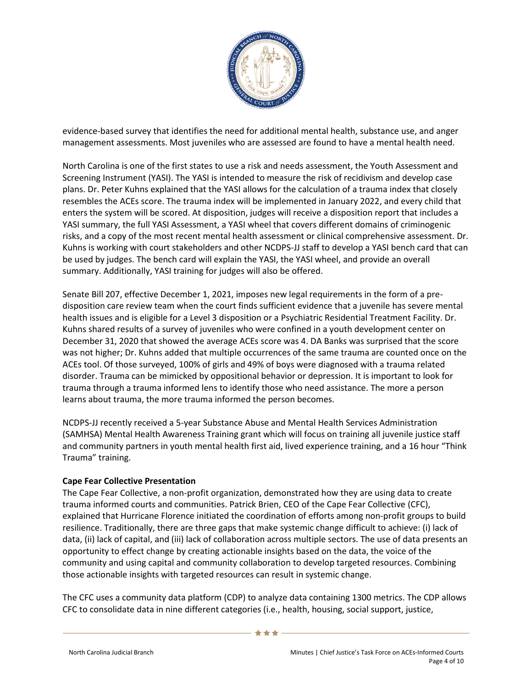

evidence-based survey that identifies the need for additional mental health, substance use, and anger management assessments. Most juveniles who are assessed are found to have a mental health need.

North Carolina is one of the first states to use a risk and needs assessment, the Youth Assessment and Screening Instrument (YASI). The YASI is intended to measure the risk of recidivism and develop case plans. Dr. Peter Kuhns explained that the YASI allows for the calculation of a trauma index that closely resembles the ACEs score. The trauma index will be implemented in January 2022, and every child that enters the system will be scored. At disposition, judges will receive a disposition report that includes a YASI summary, the full YASI Assessment, a YASI wheel that covers different domains of criminogenic risks, and a copy of the most recent mental health assessment or clinical comprehensive assessment. Dr. Kuhns is working with court stakeholders and other NCDPS-JJ staff to develop a YASI bench card that can be used by judges. The bench card will explain the YASI, the YASI wheel, and provide an overall summary. Additionally, YASI training for judges will also be offered.

Senate Bill 207, effective December 1, 2021, imposes new legal requirements in the form of a predisposition care review team when the court finds sufficient evidence that a juvenile has severe mental health issues and is eligible for a Level 3 disposition or a Psychiatric Residential Treatment Facility. Dr. Kuhns shared results of a survey of juveniles who were confined in a youth development center on December 31, 2020 that showed the average ACEs score was 4. DA Banks was surprised that the score was not higher; Dr. Kuhns added that multiple occurrences of the same trauma are counted once on the ACEs tool. Of those surveyed, 100% of girls and 49% of boys were diagnosed with a trauma related disorder. Trauma can be mimicked by oppositional behavior or depression. It is important to look for trauma through a trauma informed lens to identify those who need assistance. The more a person learns about trauma, the more trauma informed the person becomes.

NCDPS-JJ recently received a 5-year Substance Abuse and Mental Health Services Administration (SAMHSA) Mental Health Awareness Training grant which will focus on training all juvenile justice staff and community partners in youth mental health first aid, lived experience training, and a 16 hour "Think Trauma" training.

# **Cape Fear Collective Presentation**

The Cape Fear Collective, a non-profit organization, demonstrated how they are using data to create trauma informed courts and communities. Patrick Brien, CEO of the Cape Fear Collective (CFC), explained that Hurricane Florence initiated the coordination of efforts among non-profit groups to build resilience. Traditionally, there are three gaps that make systemic change difficult to achieve: (i) lack of data, (ii) lack of capital, and (iii) lack of collaboration across multiple sectors. The use of data presents an opportunity to effect change by creating actionable insights based on the data, the voice of the community and using capital and community collaboration to develop targeted resources. Combining those actionable insights with targeted resources can result in systemic change.

The CFC uses a community data platform (CDP) to analyze data containing 1300 metrics. The CDP allows CFC to consolidate data in nine different categories (i.e., health, housing, social support, justice,

\*\*\*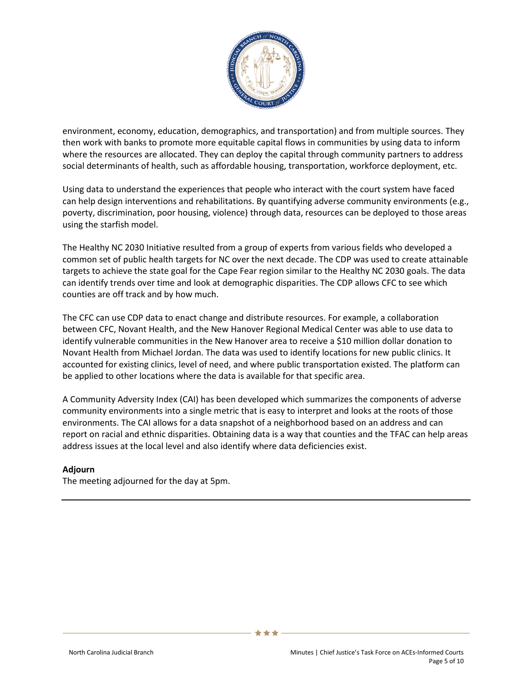

environment, economy, education, demographics, and transportation) and from multiple sources. They then work with banks to promote more equitable capital flows in communities by using data to inform where the resources are allocated. They can deploy the capital through community partners to address social determinants of health, such as affordable housing, transportation, workforce deployment, etc.

Using data to understand the experiences that people who interact with the court system have faced can help design interventions and rehabilitations. By quantifying adverse community environments (e.g., poverty, discrimination, poor housing, violence) through data, resources can be deployed to those areas using the starfish model.

The Healthy NC 2030 Initiative resulted from a group of experts from various fields who developed a common set of public health targets for NC over the next decade. The CDP was used to create attainable targets to achieve the state goal for the Cape Fear region similar to the Healthy NC 2030 goals. The data can identify trends over time and look at demographic disparities. The CDP allows CFC to see which counties are off track and by how much.

The CFC can use CDP data to enact change and distribute resources. For example, a collaboration between CFC, Novant Health, and the New Hanover Regional Medical Center was able to use data to identify vulnerable communities in the New Hanover area to receive a \$10 million dollar donation to Novant Health from Michael Jordan. The data was used to identify locations for new public clinics. It accounted for existing clinics, level of need, and where public transportation existed. The platform can be applied to other locations where the data is available for that specific area.

A Community Adversity Index (CAI) has been developed which summarizes the components of adverse community environments into a single metric that is easy to interpret and looks at the roots of those environments. The CAI allows for a data snapshot of a neighborhood based on an address and can report on racial and ethnic disparities. Obtaining data is a way that counties and the TFAC can help areas address issues at the local level and also identify where data deficiencies exist.

# **Adjourn**

The meeting adjourned for the day at 5pm.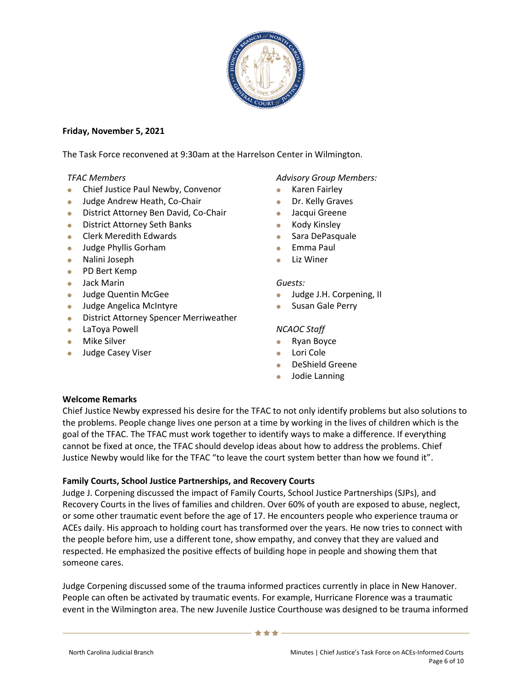

# **Friday, November 5, 2021**

The Task Force reconvened at 9:30am at the Harrelson Center in Wilmington.

# *TFAC Members*

- **Chief Justice Paul Newby, Convenor**
- **Judge Andrew Heath, Co-Chair**
- **District Attorney Ben David, Co-Chair**
- **•** District Attorney Seth Banks
- **Clerk Meredith Edwards**
- Judge Phyllis Gorham
- Nalini Joseph
- PD Bert Kemp
- Jack Marin
- **Judge Quentin McGee**
- **Judge Angelica McIntyre**
- **•** District Attorney Spencer Merriweather
- LaToya Powell
- **•** Mike Silver
- Judge Casey Viser

# *Advisory Group Members:*

- **Karen Fairley**
- Dr. Kelly Graves
- Jacqui Greene
- Kody Kinsley
- Sara DePasquale
- **Emma Paul**
- **•** Liz Winer

#### *Guests:*

- **Judge J.H. Corpening, II**
- **Susan Gale Perry**

# *NCAOC Staff*

- Ryan Boyce
- Lori Cole
- DeShield Greene
- Jodie Lanning

# **Welcome Remarks**

Chief Justice Newby expressed his desire for the TFAC to not only identify problems but also solutions to the problems. People change lives one person at a time by working in the lives of children which is the goal of the TFAC. The TFAC must work together to identify ways to make a difference. If everything cannot be fixed at once, the TFAC should develop ideas about how to address the problems. Chief Justice Newby would like for the TFAC "to leave the court system better than how we found it".

# **Family Courts, School Justice Partnerships, and Recovery Courts**

Judge J. Corpening discussed the impact of Family Courts, School Justice Partnerships (SJPs), and Recovery Courts in the lives of families and children. Over 60% of youth are exposed to abuse, neglect, or some other traumatic event before the age of 17. He encounters people who experience trauma or ACEs daily. His approach to holding court has transformed over the years. He now tries to connect with the people before him, use a different tone, show empathy, and convey that they are valued and respected. He emphasized the positive effects of building hope in people and showing them that someone cares.

Judge Corpening discussed some of the trauma informed practices currently in place in New Hanover. People can often be activated by traumatic events. For example, Hurricane Florence was a traumatic event in the Wilmington area. The new Juvenile Justice Courthouse was designed to be trauma informed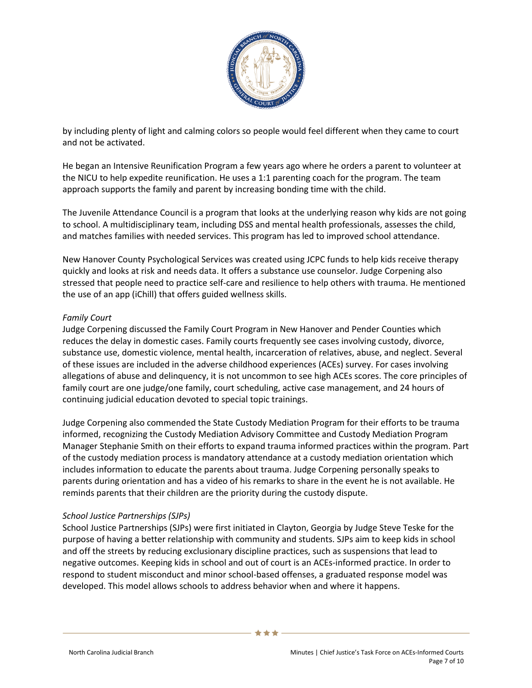

by including plenty of light and calming colors so people would feel different when they came to court and not be activated.

He began an Intensive Reunification Program a few years ago where he orders a parent to volunteer at the NICU to help expedite reunification. He uses a 1:1 parenting coach for the program. The team approach supports the family and parent by increasing bonding time with the child.

The Juvenile Attendance Council is a program that looks at the underlying reason why kids are not going to school. A multidisciplinary team, including DSS and mental health professionals, assesses the child, and matches families with needed services. This program has led to improved school attendance.

New Hanover County Psychological Services was created using JCPC funds to help kids receive therapy quickly and looks at risk and needs data. It offers a substance use counselor. Judge Corpening also stressed that people need to practice self-care and resilience to help others with trauma. He mentioned the use of an app (iChill) that offers guided wellness skills.

# *Family Court*

Judge Corpening discussed the Family Court Program in New Hanover and Pender Counties which reduces the delay in domestic cases. Family courts frequently see cases involving custody, divorce, substance use, domestic violence, mental health, incarceration of relatives, abuse, and neglect. Several of these issues are included in the adverse childhood experiences (ACEs) survey. For cases involving allegations of abuse and delinquency, it is not uncommon to see high ACEs scores. The core principles of family court are one judge/one family, court scheduling, active case management, and 24 hours of continuing judicial education devoted to special topic trainings.

Judge Corpening also commended the State Custody Mediation Program for their efforts to be trauma informed, recognizing the Custody Mediation Advisory Committee and Custody Mediation Program Manager Stephanie Smith on their efforts to expand trauma informed practices within the program. Part of the custody mediation process is mandatory attendance at a custody mediation orientation which includes information to educate the parents about trauma. Judge Corpening personally speaks to parents during orientation and has a video of his remarks to share in the event he is not available. He reminds parents that their children are the priority during the custody dispute.

# *School Justice Partnerships (SJPs)*

School Justice Partnerships (SJPs) were first initiated in Clayton, Georgia by Judge Steve Teske for the purpose of having a better relationship with community and students. SJPs aim to keep kids in school and off the streets by reducing exclusionary discipline practices, such as suspensions that lead to negative outcomes. Keeping kids in school and out of court is an ACEs-informed practice. In order to respond to student misconduct and minor school-based offenses, a graduated response model was developed. This model allows schools to address behavior when and where it happens.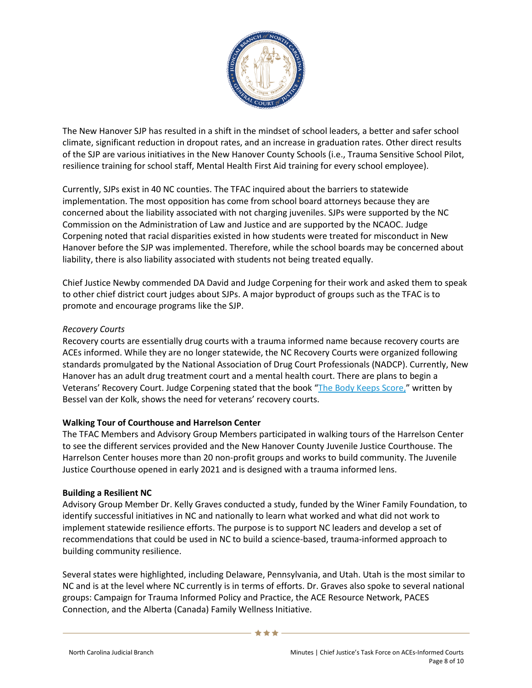

The New Hanover SJP has resulted in a shift in the mindset of school leaders, a better and safer school climate, significant reduction in dropout rates, and an increase in graduation rates. Other direct results of the SJP are various initiatives in the New Hanover County Schools (i.e., Trauma Sensitive School Pilot, resilience training for school staff, Mental Health First Aid training for every school employee).

Currently, SJPs exist in 40 NC counties. The TFAC inquired about the barriers to statewide implementation. The most opposition has come from school board attorneys because they are concerned about the liability associated with not charging juveniles. SJPs were supported by the NC Commission on the Administration of Law and Justice and are supported by the NCAOC. Judge Corpening noted that racial disparities existed in how students were treated for misconduct in New Hanover before the SJP was implemented. Therefore, while the school boards may be concerned about liability, there is also liability associated with students not being treated equally.

Chief Justice Newby commended DA David and Judge Corpening for their work and asked them to speak to other chief district court judges about SJPs. A major byproduct of groups such as the TFAC is to promote and encourage programs like the SJP.

# *Recovery Courts*

Recovery courts are essentially drug courts with a trauma informed name because recovery courts are ACEs informed. While they are no longer statewide, the NC Recovery Courts were organized following standards promulgated by the National Association of Drug Court Professionals (NADCP). Currently, New Hanover has an adult drug treatment court and a mental health court. There are plans to begin a Veterans' Recovery Court. Judge Corpening stated that the book "[The Body Keeps Score,](https://www.besselvanderkolk.com/resources/the-body-keeps-the-score)" written by Bessel van der Kolk, shows the need for veterans' recovery courts.

# **Walking Tour of Courthouse and Harrelson Center**

The TFAC Members and Advisory Group Members participated in walking tours of the Harrelson Center to see the different services provided and the New Hanover County Juvenile Justice Courthouse. The Harrelson Center houses more than 20 non-profit groups and works to build community. The Juvenile Justice Courthouse opened in early 2021 and is designed with a trauma informed lens.

# **Building a Resilient NC**

Advisory Group Member Dr. Kelly Graves conducted a study, funded by the Winer Family Foundation, to identify successful initiatives in NC and nationally to learn what worked and what did not work to implement statewide resilience efforts. The purpose is to support NC leaders and develop a set of recommendations that could be used in NC to build a science-based, trauma-informed approach to building community resilience.

Several states were highlighted, including Delaware, Pennsylvania, and Utah. Utah is the most similar to NC and is at the level where NC currently is in terms of efforts. Dr. Graves also spoke to several national groups: Campaign for Trauma Informed Policy and Practice, the ACE Resource Network, PACES Connection, and the Alberta (Canada) Family Wellness Initiative.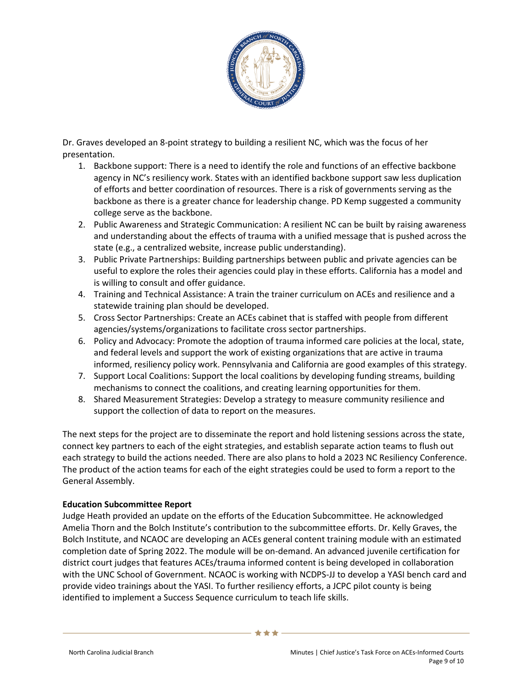

Dr. Graves developed an 8-point strategy to building a resilient NC, which was the focus of her presentation.

- 1. Backbone support: There is a need to identify the role and functions of an effective backbone agency in NC's resiliency work. States with an identified backbone support saw less duplication of efforts and better coordination of resources. There is a risk of governments serving as the backbone as there is a greater chance for leadership change. PD Kemp suggested a community college serve as the backbone.
- 2. Public Awareness and Strategic Communication: A resilient NC can be built by raising awareness and understanding about the effects of trauma with a unified message that is pushed across the state (e.g., a centralized website, increase public understanding).
- 3. Public Private Partnerships: Building partnerships between public and private agencies can be useful to explore the roles their agencies could play in these efforts. California has a model and is willing to consult and offer guidance.
- 4. Training and Technical Assistance: A train the trainer curriculum on ACEs and resilience and a statewide training plan should be developed.
- 5. Cross Sector Partnerships: Create an ACEs cabinet that is staffed with people from different agencies/systems/organizations to facilitate cross sector partnerships.
- 6. Policy and Advocacy: Promote the adoption of trauma informed care policies at the local, state, and federal levels and support the work of existing organizations that are active in trauma informed, resiliency policy work. Pennsylvania and California are good examples of this strategy.
- 7. Support Local Coalitions: Support the local coalitions by developing funding streams, building mechanisms to connect the coalitions, and creating learning opportunities for them.
- 8. Shared Measurement Strategies: Develop a strategy to measure community resilience and support the collection of data to report on the measures.

The next steps for the project are to disseminate the report and hold listening sessions across the state, connect key partners to each of the eight strategies, and establish separate action teams to flush out each strategy to build the actions needed. There are also plans to hold a 2023 NC Resiliency Conference. The product of the action teams for each of the eight strategies could be used to form a report to the General Assembly.

# **Education Subcommittee Report**

Judge Heath provided an update on the efforts of the Education Subcommittee. He acknowledged Amelia Thorn and the Bolch Institute's contribution to the subcommittee efforts. Dr. Kelly Graves, the Bolch Institute, and NCAOC are developing an ACEs general content training module with an estimated completion date of Spring 2022. The module will be on-demand. An advanced juvenile certification for district court judges that features ACEs/trauma informed content is being developed in collaboration with the UNC School of Government. NCAOC is working with NCDPS-JJ to develop a YASI bench card and provide video trainings about the YASI. To further resiliency efforts, a JCPC pilot county is being identified to implement a Success Sequence curriculum to teach life skills.